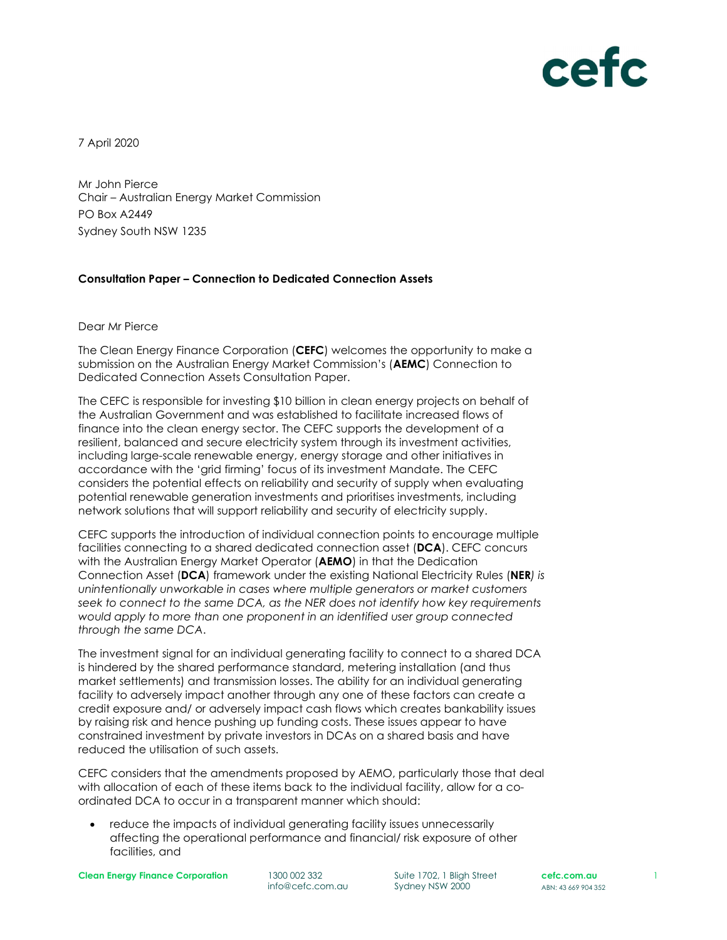

7 April 2020

Mr John Pierce Chair – Australian Energy Market Commission PO Box A2449 Sydney South NSW 1235

## Consultation Paper – Connection to Dedicated Connection Assets

Dear Mr Pierce

The Clean Energy Finance Corporation (CEFC) welcomes the opportunity to make a submission on the Australian Energy Market Commission's (AEMC) Connection to Dedicated Connection Assets Consultation Paper.

The CEFC is responsible for investing \$10 billion in clean energy projects on behalf of the Australian Government and was established to facilitate increased flows of finance into the clean energy sector. The CEFC supports the development of a resilient, balanced and secure electricity system through its investment activities, including large-scale renewable energy, energy storage and other initiatives in accordance with the 'grid firming' focus of its investment Mandate. The CEFC considers the potential effects on reliability and security of supply when evaluating potential renewable generation investments and prioritises investments, including network solutions that will support reliability and security of electricity supply.

CEFC supports the introduction of individual connection points to encourage multiple facilities connecting to a shared dedicated connection asset (DCA). CEFC concurs with the Australian Energy Market Operator (AEMO) in that the Dedication Connection Asset (DCA) framework under the existing National Electricity Rules (NER) is unintentionally unworkable in cases where multiple generators or market customers seek to connect to the same DCA, as the NER does not identify how key requirements would apply to more than one proponent in an identified user group connected through the same DCA.<br>The investment signal for an individual generating facility to connect to a shared DCA

is hindered by the shared performance standard, metering installation (and thus market settlements) and transmission losses. The ability for an individual generating facility to adversely impact another through any one of these factors can create a credit exposure and/ or adversely impact cash flows which creates bankability issues by raising risk and hence pushing up funding costs. These issues appear to have constrained investment by private investors in DCAs on a shared basis and have reduced the utilisation of such assets.

CEFC considers that the amendments proposed by AEMO, particularly those that deal with allocation of each of these items back to the individual facility, allow for a coordinated DCA to occur in a transparent manner which should:

 reduce the impacts of individual generating facility issues unnecessarily affecting the operational performance and financial/ risk exposure of other facilities, and

Clean Energy Finance Corporation 1300 002 332

info@cefc.com.au

Suite 1702, 1 Bligh Street Sydney NSW 2000

cefc.com.au **cefc.com.au** 1<br>ABN: 43 669 904 352